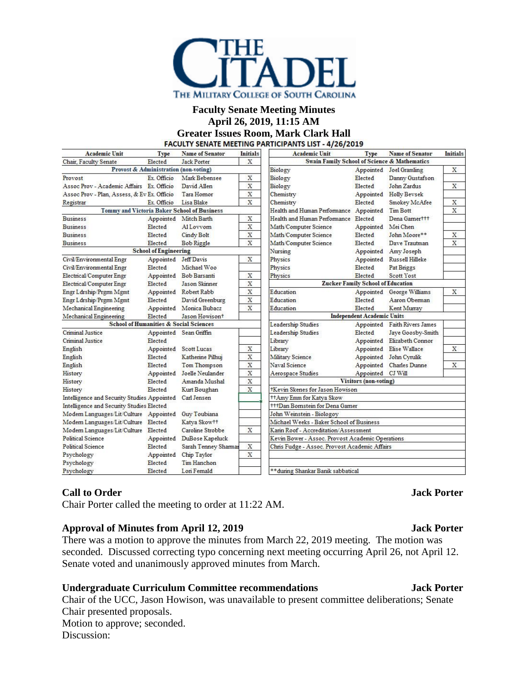

### **Faculty Senate Meeting Minutes April 26, 2019, 11:15 AM**

**Greater Issues Room, Mark Clark Hall**

| <b>Academic Unit</b>                                        | <b>Type</b>          | <b>Name of Senator</b>     | Initials                              | <b>Academic Unit</b>                                    | <b>Type</b>                       | <b>Name of Senator</b>       | <b>Initials</b> |
|-------------------------------------------------------------|----------------------|----------------------------|---------------------------------------|---------------------------------------------------------|-----------------------------------|------------------------------|-----------------|
| X<br>Chair, Faculty Senate<br><b>Jack Porter</b><br>Elected |                      |                            |                                       | <b>Swain Family School of Science &amp; Mathematics</b> |                                   |                              |                 |
| Provost & Administration (non-voting)                       |                      |                            |                                       | Biology                                                 | Appointed                         | Joel Gramling                | X               |
| Provost                                                     | Ex. Officio          | Mark Bebensee              | X                                     | Biology                                                 | Elected                           | Danny Gustafson              |                 |
| Assoc Prov - Academic Affairs Ex. Officio                   |                      | David Allen                | X                                     | Biology                                                 | Elected                           | John Zardus                  | X               |
| Assoc Prov - Plan, Assess, & Ev Ex. Officio                 |                      | Tara Hornor                | X                                     | Chemistry                                               |                                   | Appointed Holly Bevsek       |                 |
| Registrar                                                   | Ex. Officio          | Lisa Blake                 | X                                     | Chemistry                                               | Elected                           | Smokey McAfee                | X               |
| Tommy and Victoria Baker School of Business                 |                      |                            |                                       | Health and Human Performance Appointed                  |                                   | <b>Tim Bott</b>              | X               |
| <b>Business</b>                                             | Appointed            | Mitch Barth                | X                                     | Health and Human Performance Elected                    |                                   | Dena Gamerttt                |                 |
| <b>Business</b>                                             | Elected              | Al Lovvom                  | X                                     | Math/Computer Science                                   | Appointed                         | Mei Chen                     |                 |
| <b>Business</b>                                             | Elected              | Cindy Bolt                 | X                                     | Math/Computer Science                                   | Elected                           | John Moore**                 | X               |
| <b>Business</b>                                             | Elected              | <b>Bob Riggle</b>          | X                                     | Math/Computer Science                                   | Elected                           | Dave Trautman                | X               |
| <b>School of Engineering</b>                                |                      |                            |                                       | Nursing                                                 |                                   | Appointed Amy Joseph         |                 |
| Civil/Environmental Engr                                    | Appointed Jeff Davis |                            | X                                     | Physics                                                 |                                   | Appointed Russell Hilleke    |                 |
| Civil/Environmental Engr                                    | Elected              | Michael Woo                |                                       | Physics                                                 | Elected                           | Pat Briggs                   |                 |
| Electrical/Computer Engr                                    |                      | Appointed Bob Barsanti     | X                                     | Physics                                                 | Elected                           | <b>Scott Yost</b>            |                 |
| Electrical/Computer Engr                                    | Elected              | <b>Jason Skinner</b>       | X                                     | <b>Zucker Family School of Education</b>                |                                   |                              |                 |
| Engr Ldrship/Prgm Mgmt                                      |                      | Appointed Robert Rabb      | X                                     | Education                                               |                                   | Appointed George Williams    | X               |
| Engr Ldrship/Prgm Mgmt                                      | Elected              | David Greenburg            | X                                     | Education                                               | Elected                           | Aaron Oberman                |                 |
| Mechanical Engineering                                      |                      | Appointed Monica Bubacz    | X                                     | Education                                               | Elected                           | Kent Murray                  |                 |
| Mechanical Engineering                                      | Elected              | Jason Howison <sup>+</sup> |                                       |                                                         | <b>Independent Academic Units</b> |                              |                 |
| <b>School of Humanities &amp; Social Sciences</b>           |                      |                            |                                       | Leadership Studies                                      |                                   | Appointed Faith Rivers James |                 |
| Criminal Justice                                            |                      | Appointed Sean Griffin     |                                       | Leadership Studies                                      | Elected                           | Jaye Goosby-Smith            |                 |
| <b>Criminal Justice</b>                                     | Elected              |                            |                                       | Library                                                 | Appointed                         | Elizabeth Connor             |                 |
| English                                                     | Appointed            | <b>Scott Lucas</b>         | X                                     | Library                                                 |                                   | Appointed Elise Wallace      | X               |
| English                                                     | Elected              | Katherine Pilhuj           | X                                     | Military Science                                        |                                   | Appointed John Cyrulik       |                 |
| English                                                     | Elected              | <b>Tom Thompson</b>        | X                                     | Naval Science                                           |                                   | Appointed Charles Dunne      | X               |
| History                                                     |                      | Appointed Joelle Neulander | X                                     | Aerospace Studies                                       | Appointed CJ Will                 |                              |                 |
| History                                                     | Elected              | Amanda Mushal              | X                                     | <b>Visitors (non-voting)</b>                            |                                   |                              |                 |
| History                                                     | Elected              | Kurt Boughan               | X                                     | <b>Kevin Skenes for Jason Howison</b>                   |                                   |                              |                 |
| Carl Jensen<br>Intelligence and Security Studies Appointed  |                      |                            | ++Amy Emm for Katya Skow              |                                                         |                                   |                              |                 |
| Intelligence and Security Studies Elected                   |                      |                            | <b>ttDan Bornstein for Dena Gamer</b> |                                                         |                                   |                              |                 |
| Modern Languages/Lit/Culture Appointed                      |                      | Guy Toubiana               |                                       | John Weinstein - Biologoy                               |                                   |                              |                 |
| Modern Languages/Lit/Culture Elected                        |                      | Katya Skow++               |                                       | Michael Weeks - Baker School of Business                |                                   |                              |                 |
| Modern Languages/Lit/Culture Elected                        |                      | Caroline Strobbe           | X                                     | Karin Roof - Accreditation/Assessment                   |                                   |                              |                 |
| <b>Political Science</b>                                    | Appointed            | DuBose Kapeluck            |                                       | Kevin Bower - Assoc. Provost Academic Operations        |                                   |                              |                 |
| Political Science                                           | Elected              | Sarah Tenney Sharmar       | X                                     | Chris Fudge - Assoc. Provost Academic Affairs           |                                   |                              |                 |
| Psychology                                                  | Appointed            | Chip Taylor                | X                                     |                                                         |                                   |                              |                 |
| Psychology                                                  | Elected              | Tim Hanchon                |                                       |                                                         |                                   |                              |                 |
| Psychology                                                  | Elected              | Lon Femald                 |                                       | ** during Shankar Banik sabbatical                      |                                   |                              |                 |

# **Call to Order Jack Porter**

Chair Porter called the meeting to order at 11:22 AM.

### **Approval of Minutes from April 12, 2019 Jack Porter**

There was a motion to approve the minutes from March 22, 2019 meeting. The motion was seconded. Discussed correcting typo concerning next meeting occurring April 26, not April 12. Senate voted and unanimously approved minutes from March.

# **Undergraduate Curriculum Committee recommendations Jack Porter**

Chair of the UCC, Jason Howison, was unavailable to present committee deliberations; Senate Chair presented proposals. Motion to approve; seconded. Discussion: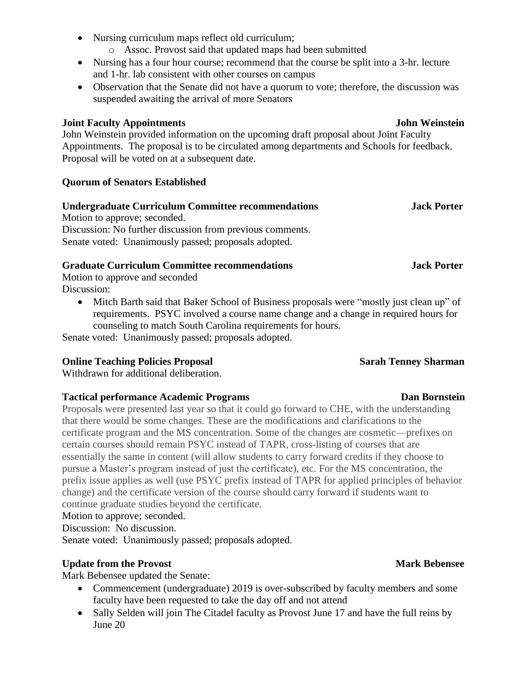- Nursing curriculum maps reflect old curriculum;
	- o Assoc. Provost said that updated maps had been submitted
- Nursing has a four hour course; recommend that the course be split into a 3-hr. lecture and 1-hr. lab consistent with other courses on campus
- Observation that the Senate did not have a quorum to vote; therefore, the discussion was suspended awaiting the arrival of more Senators

## **Joint Faculty Appointments John Weinstein**

John Weinstein provided information on the upcoming draft proposal about Joint Faculty Appointments. The proposal is to be circulated among departments and Schools for feedback. Proposal will be voted on at a subsequent date.

# **Quorum of Senators Established**

# **Undergraduate Curriculum Committee recommendations Jack Porter** Motion to approve; seconded. Discussion: No further discussion from previous comments. Senate voted: Unanimously passed; proposals adopted.

# **Graduate Curriculum Committee recommendations Jack Porter**

Motion to approve and seconded Discussion:

• Mitch Barth said that Baker School of Business proposals were "mostly just clean up" of requirements. PSYC involved a course name change and a change in required hours for counseling to match South Carolina requirements for hours.

Senate voted: Unanimously passed; proposals adopted.

# **Online Teaching Policies Proposal Sarah Tenney Sharman**

Withdrawn for additional deliberation.

# **Tactical performance Academic Programs Dan Bornstein**

Proposals were presented last year so that it could go forward to CHE, with the understanding that there would be some changes. These are the modifications and clarifications to the certificate program and the MS concentration. Some of the changes are cosmetic—prefixes on certain courses should remain PSYC instead of TAPR, cross-listing of courses that are essentially the same in content (will allow students to carry forward credits if they choose to pursue a Master's program instead of just the certificate), etc. For the MS concentration, the prefix issue applies as well (use PSYC prefix instead of TAPR for applied principles of behavior change) and the certificate version of the course should carry forward if students want to continue graduate studies beyond the certificate.

### Motion to approve; seconded.

Discussion: No discussion.

Senate voted: Unanimously passed; proposals adopted.

# **Update from the Provost** Mark Bebensee **Mark Mark Bebensee**

Mark Bebensee updated the Senate:

- Commencement (undergraduate) 2019 is over-subscribed by faculty members and some faculty have been requested to take the day off and not attend
- Sally Selden will join The Citadel faculty as Provost June 17 and have the full reins by June 20